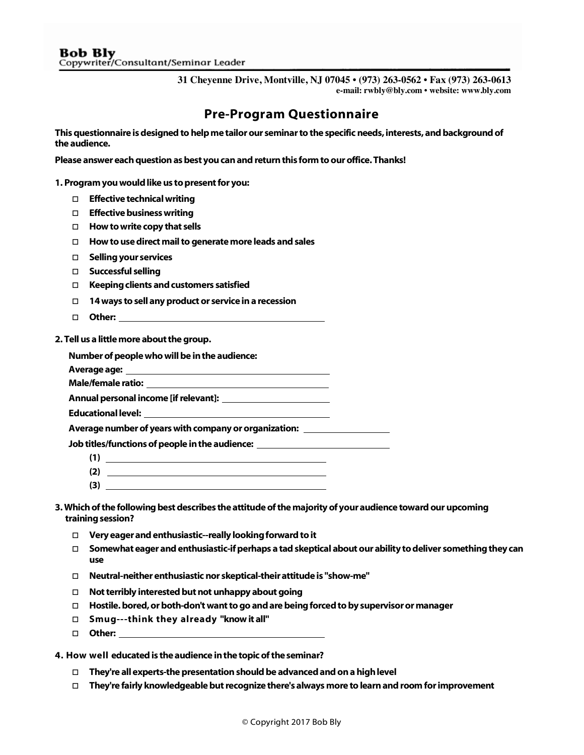**31 Cheyenne Drive, Montville, NJ 07045 • (973) 263-0562 • Fax (973) 263-0613 e-mail: rwbly@bly.com • website: www.bly.com**

## Pre-Program Questionnaire

This questionnaire is designed to help me tailor our seminar to the specific needs, interests,and background of the audience.

Please answer each question as best you can and return this form to our office. Thanks!

1. Program you would like us to present for you:

- □ Effective technical writing
- $\square$  Effective business writing
- $\Box$  How to write copy that sells
- $\Box$  How to use direct mail to generate more leads and sales
- □ Selling your services
- □ Successful selling
- $\Box$  Keeping clients and customers satisfied
- $\Box$  14 ways to sell any product or service in a recession
- □ Other:

2. Tell us a little more about the group.

Number of people who will be in the audience:

Average age:

Male/female ratio:

Annual personal income [if relevant]:

Educational level:

Average number of years with company or organization:

Job titles/functions of people in the audience:

 $(1)$ 

<u> 1980 - Johann Barn, mars ann an t-</u>

- $(2)$
- (3)

3. Which of the following best describes the attitude of the majority of your audience toward our upcoming training session?

- $\Box$  Very eager and enthusiastic--really looking forward to it
- $\Box$  Somewhat eager and enthusiastic-if perhaps a tad skeptical about our ability to deliver something they can use
- Neutral-neither enthusiastic nor skeptical-their attitude is "show-me"
- $\Box$  Not terribly interested but not unhappy about going
- Hostile. bored, or both-don't want to go and are being forced to by supervisor or manager
- □ Smug---think they already "know it all"
- □ Other:

4. How well educated is the audience in the topic of the seminar?

- $\Box$  They're all experts-the presentation should be advanced and on a high level
- $\Box$  They're fairly knowledgeable but recognize there's always more to learn and room for improvement